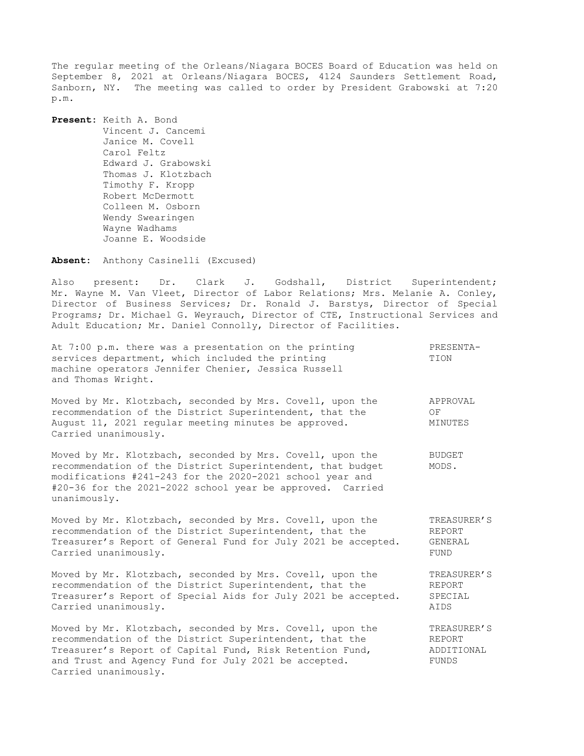The regular meeting of the Orleans/Niagara BOCES Board of Education was held on September 8, 2021 at Orleans/Niagara BOCES, 4124 Saunders Settlement Road, Sanborn, NY. The meeting was called to order by President Grabowski at 7:20 p.m.

**Present:** Keith A. Bond Vincent J. Cancemi Janice M. Covell Carol Feltz Edward J. Grabowski Thomas J. Klotzbach Timothy F. Kropp Robert McDermott Colleen M. Osborn Wendy Swearingen Wayne Wadhams Joanne E. Woodside

**Absent:** Anthony Casinelli (Excused)

Also present: Dr. Clark J. Godshall, District Superintendent; Mr. Wayne M. Van Vleet, Director of Labor Relations; Mrs. Melanie A. Conley, Director of Business Services; Dr. Ronald J. Barstys, Director of Special Programs; Dr. Michael G. Weyrauch, Director of CTE, Instructional Services and Adult Education; Mr. Daniel Connolly, Director of Facilities.

| At 7:00 p.m. there was a presentation on the printing<br>services department, which included the printing<br>machine operators Jennifer Chenier, Jessica Russell<br>and Thomas Wright.                                                                           | PRESENTA-<br>TION                            |
|------------------------------------------------------------------------------------------------------------------------------------------------------------------------------------------------------------------------------------------------------------------|----------------------------------------------|
| Moved by Mr. Klotzbach, seconded by Mrs. Covell, upon the<br>recommendation of the District Superintendent, that the<br>August 11, 2021 regular meeting minutes be approved.<br>Carried unanimously.                                                             | APPROVAL<br>OF<br>MINUTES                    |
| Moved by Mr. Klotzbach, seconded by Mrs. Covell, upon the<br>recommendation of the District Superintendent, that budget<br>modifications #241-243 for the 2020-2021 school year and<br>#20-36 for the 2021-2022 school year be approved. Carried<br>unanimously. | <b>BUDGET</b><br>MODS.                       |
| Moved by Mr. Klotzbach, seconded by Mrs. Covell, upon the<br>recommendation of the District Superintendent, that the<br>Treasurer's Report of General Fund for July 2021 be accepted.<br>Carried unanimously.                                                    | TREASURER'S<br>REPORT<br>GENERAL<br>FUND     |
| Moved by Mr. Klotzbach, seconded by Mrs. Covell, upon the<br>recommendation of the District Superintendent, that the<br>Treasurer's Report of Special Aids for July 2021 be accepted.<br>Carried unanimously.                                                    | TREASURER'S<br>REPORT<br>SPECIAL<br>AIDS     |
| Moved by Mr. Klotzbach, seconded by Mrs. Covell, upon the<br>recommendation of the District Superintendent, that the<br>Treasurer's Report of Capital Fund, Risk Retention Fund,<br>and Trust and Agency Fund for July 2021 be accepted.<br>Carried unanimously. | TREASURER'S<br>REPORT<br>ADDITIONAL<br>FUNDS |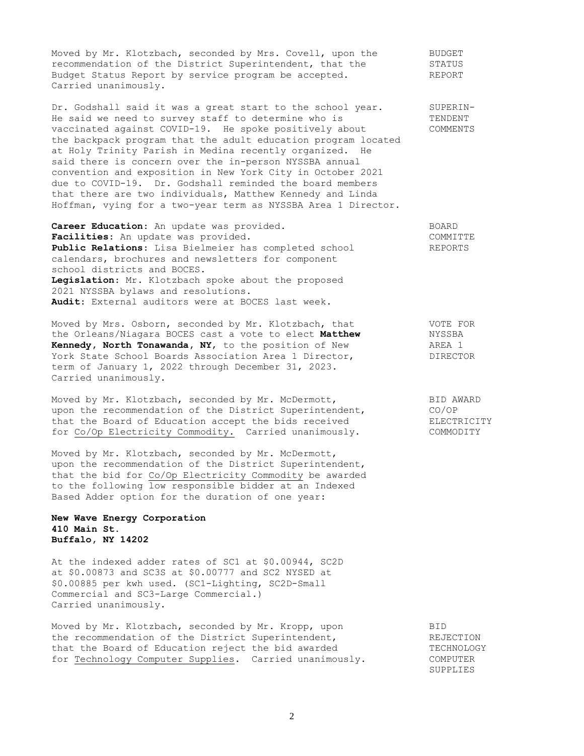Moved by Mr. Klotzbach, seconded by Mrs. Covell, upon the BUDGET Moved by Mr. Klotzbach, seconded by  $n_1$  and  $n_2$  are secondent, that the STATUS<br>recommendation of the District Superintendent, that the STATUS Budget Status Report by service program be accepted. REPORT Carried unanimously.

Dr. Godshall said it was a great start to the school year. SUPERIN-He said we need to survey staff to determine who is TENDENT vaccinated against COVID-19. He spoke positively about COMMENTS the backpack program that the adult education program located at Holy Trinity Parish in Medina recently organized. He said there is concern over the in-person NYSSBA annual convention and exposition in New York City in October 2021 due to COVID-19. Dr. Godshall reminded the board members that there are two individuals, Matthew Kennedy and Linda Hoffman, vying for a two-year term as NYSSBA Area 1 Director.

**Career Education:** An update was provided. BOARD Facilities: An update was provided. The set of the community of the community of  $\sim$ **Public Relations**: Lisa Bielmeier has completed school REPORTS calendars, brochures and newsletters for component school districts and BOCES. **Legislation**: Mr. Klotzbach spoke about the proposed 2021 NYSSBA bylaws and resolutions. **Audit**: External auditors were at BOCES last week.

Moved by Mrs. Osborn, seconded by Mr. Klotzbach, that **VOTE FOR** the Orleans/Niagara BOCES cast a vote to elect **Matthew** NYSSBA **Kennedy, North Tonawanda, NY**, to the position of New AREA 1 York State School Boards Association Area 1 Director, The DIRECTOR term of January 1, 2022 through December 31, 2023. Carried unanimously.

Moved by Mr. Klotzbach, seconded by Mr. McDermott, The Manuel BID AWARD upon the recommendation of the District Superintendent, CO/OP that the Board of Education accept the bids received **ELECTRICITY** for Co/Op Electricity Commodity. Carried unanimously. COMMODITY

Moved by Mr. Klotzbach, seconded by Mr. McDermott, upon the recommendation of the District Superintendent, that the bid for Co/Op Electricity Commodity be awarded to the following low responsible bidder at an Indexed Based Adder option for the duration of one year:

## **New Wave Energy Corporation 410 Main St. Buffalo, NY 14202**

At the indexed adder rates of SC1 at \$0.00944, SC2D at \$0.00873 and SC3S at \$0.00777 and SC2 NYSED at \$0.00885 per kwh used. (SC1-Lighting, SC2D-Small Commercial and SC3-Large Commercial.) Carried unanimously.

Moved by Mr. Klotzbach, seconded by Mr. Kropp, upon BID the recommendation of the District Superintendent, THE REJECTION that the Board of Education reject the bid awarded TECHNOLOGY for Technology Computer Supplies. Carried unanimously. COMPUTER

REJL<br>TECHNOLU<br>COMPUTER<br>SUPPLIES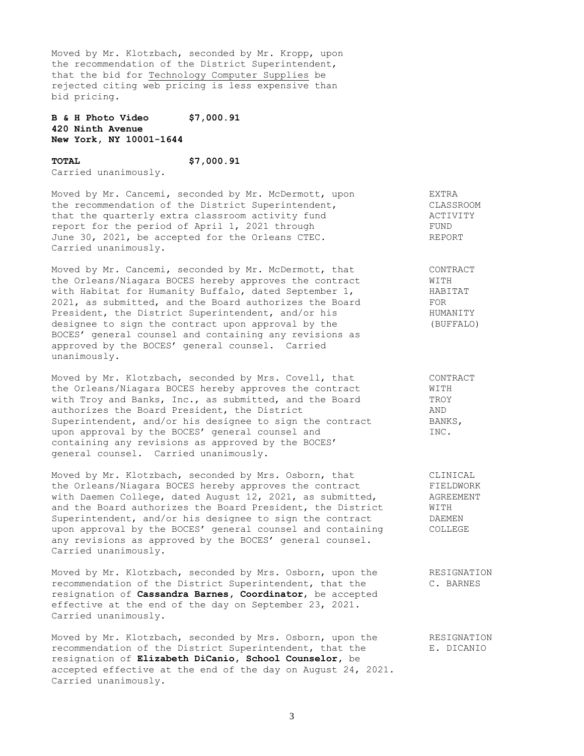Moved by Mr. Klotzbach, seconded by Mr. Kropp, upon the recommendation of the District Superintendent, that the bid for Technology Computer Supplies be rejected citing web pricing is less expensive than bid pricing.

**B & H Photo Video \$7,000.91 420 Ninth Avenue New York, NY 10001-1644**

## **TOTAL \$7,000.91**

Carried unanimously.

Moved by Mr. Cancemi, seconded by Mr. McDermott, upon EXTRA the recommendation of the District Superintendent, The CLASSROOM that the quarterly extra classroom activity fund activity fund report for the period of April 1, 2021 through FUND June 30, 2021, be accepted for the Orleans CTEC. REPORT Carried unanimously.

Moved by Mr. Cancemi, seconded by Mr. McDermott, that CONTRACT the Orleans/Niagara BOCES hereby approves the contract WITH with Habitat for Humanity Buffalo, dated September 1, THABITAT 2021, as submitted, and the Board authorizes the Board FOR President, the District Superintendent, and/or his HUMANITY designee to sign the contract upon approval by the (BUFFALO) BOCES' general counsel and containing any revisions as approved by the BOCES' general counsel. Carried unanimously.

Moved by Mr. Klotzbach, seconded by Mrs. Covell, that CONTRACT the Orleans/Niagara BOCES hereby approves the contract WITH with Troy and Banks, Inc., as submitted, and the Board TROY authorizes the Board President, the District AND Superintendent, and/or his designee to sign the contract BANKS, upon approval by the BOCES' general counsel and INC. containing any revisions as approved by the BOCES' general counsel. Carried unanimously.

Moved by Mr. Klotzbach, seconded by Mrs. Osborn, that CLINICAL<br>the Orleans/Niagara BOCES hereby approves the contract FIELDWORD<br>with Daemen Collors details the Orleans/Niagara BOCES hereby approves the contract FIELDWORK with Daemen College, dated August 12, 2021, as submitted, AGREEMENT and the Board authorizes the Board President, the District WITH Superintendent, and/or his designee to sign the contract DAEMEN upon approval by the BOCES' general counsel and containing COLLEGE any revisions as approved by the BOCES' general counsel. Carried unanimously.

Moved by Mr. Klotzbach, seconded by Mrs. Osborn, upon the RESIGNATION recommendation of the District Superintendent, that the C. BARNES resignation of **Cassandra Barnes, Coordinator**, be accepted effective at the end of the day on September 23, 2021. Carried unanimously.

Moved by Mr. Klotzbach, seconded by Mrs. Osborn, upon the RESIGNATION recommendation of the District Superintendent, that the E. DICANIO resignation of **Elizabeth DiCanio, School Counselor,** be accepted effective at the end of the day on August 24, 2021. Carried unanimously.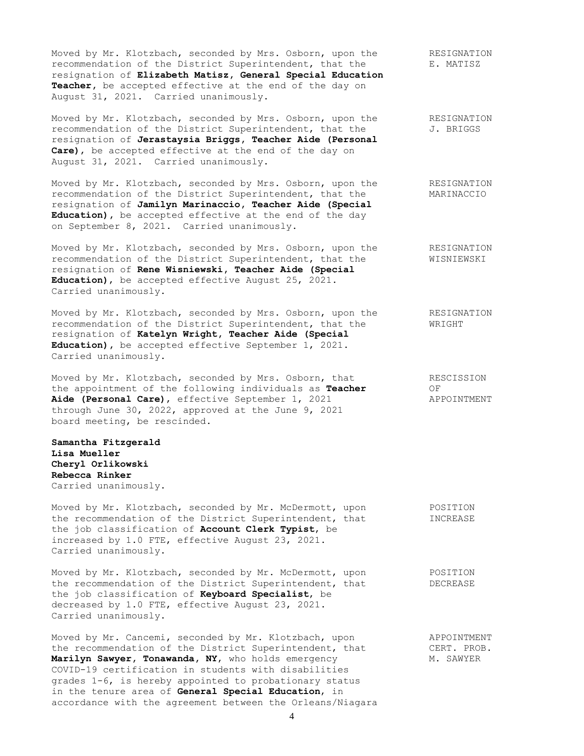Moved by Mr. Klotzbach, seconded by Mrs. Osborn, upon the RESIGNATION recommendation of the District Superintendent, that the E. MATISZ resignation of **Elizabeth Matisz, General Special Education Teacher,** be accepted effective at the end of the day on August 31, 2021. Carried unanimously.

Moved by Mr. Klotzbach, seconded by Mrs. Osborn, upon the RESIGNATION recommendation of the District Superintendent, that the  $J.$  BRIGGS resignation of **Jerastaysia Briggs, Teacher Aide (Personal Care)**, be accepted effective at the end of the day on August 31, 2021. Carried unanimously.

Moved by Mr. Klotzbach, seconded by Mrs. Osborn, upon the RESIGNATION recommendation of the District Superintendent, that the MARINACCIO resignation of **Jamilyn Marinaccio, Teacher Aide (Special Education),** be accepted effective at the end of the day on September 8, 2021. Carried unanimously.

Moved by Mr. Klotzbach, seconded by Mrs. Osborn, upon the RESIGNATION recommendation of the District Superintendent, that the WISNIEWSKI resignation of **Rene Wisniewski, Teacher Aide (Special Education)**, be accepted effective August 25, 2021. Carried unanimously.

Moved by Mr. Klotzbach, seconded by Mrs. Osborn, upon the RESIGNATION recommendation of the District Superintendent, that the WRIGHT resignation of **Katelyn Wright, Teacher Aide (Special Education),** be accepted effective September 1, 2021. Carried unanimously.

Moved by Mr. Klotzbach, seconded by Mrs. Osborn, that RESCISSION<br>the appointment of the following individuals as **Teacher** OF the appointment of the following individuals as **Teacher** Aide (Personal Care), effective September 1, 2021 APPOINTMENT through June 30, 2022, approved at the June 9, 2021 board meeting, be rescinded.

**Samantha Fitzgerald Lisa Mueller Cheryl Orlikowski Rebecca Rinker** Carried unanimously.

Moved by Mr. Klotzbach, seconded by Mr. McDermott, upon POSITION the recommendation of the District Superintendent, that **INCREASE** the job classification of **Account Clerk Typist**, be increased by 1.0 FTE, effective August 23, 2021. Carried unanimously.

Moved by Mr. Klotzbach, seconded by Mr. McDermott, upon POSITION the recommendation of the District Superintendent, that DECREASE the job classification of **Keyboard Specialist**, be decreased by 1.0 FTE, effective August 23, 2021. Carried unanimously.

Moved by Mr. Cancemi, seconded by Mr. Klotzbach, upon and APPOINTMENT<br>the recommendation of the District Superintendent, that CERT. PROB. the recommendation of the District Superintendent, that **Marilyn Sawyer, Tonawanda, NY,** who holds emergency M. SAWYER COVID-19 certification in students with disabilities grades 1-6, is hereby appointed to probationary status in the tenure area of **General Special Education**, in accordance with the agreement between the Orleans/Niagara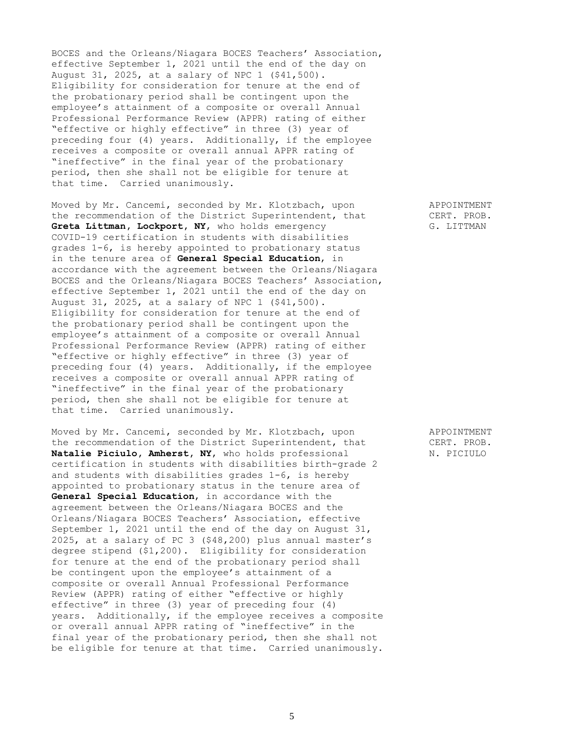BOCES and the Orleans/Niagara BOCES Teachers' Association, effective September 1, 2021 until the end of the day on August 31, 2025, at a salary of NPC 1 (\$41,500). Eligibility for consideration for tenure at the end of the probationary period shall be contingent upon the employee's attainment of a composite or overall Annual Professional Performance Review (APPR) rating of either "effective or highly effective" in three (3) year of preceding four (4) years. Additionally, if the employee receives a composite or overall annual APPR rating of "ineffective" in the final year of the probationary period, then she shall not be eligible for tenure at that time. Carried unanimously.

Moved by Mr. Cancemi, seconded by Mr. Klotzbach, upon APPOINTMENT the recommendation of the District Superintendent, that CERT. PROB. **Greta Littman, Lockport, NY**, who holds emergency G. LITTMAN COVID-19 certification in students with disabilities grades 1-6, is hereby appointed to probationary status in the tenure area of **General Special Education**, in accordance with the agreement between the Orleans/Niagara BOCES and the Orleans/Niagara BOCES Teachers' Association, effective September 1, 2021 until the end of the day on August 31, 2025, at a salary of NPC 1 (\$41,500). Eligibility for consideration for tenure at the end of the probationary period shall be contingent upon the employee's attainment of a composite or overall Annual Professional Performance Review (APPR) rating of either "effective or highly effective" in three (3) year of preceding four (4) years. Additionally, if the employee receives a composite or overall annual APPR rating of "ineffective" in the final year of the probationary period, then she shall not be eligible for tenure at that time. Carried unanimously.

Moved by Mr. Cancemi, seconded by Mr. Klotzbach, upon APPOINTMENT the recommendation of the District Superintendent, that CERT. PROB. **Natalie Piciulo, Amherst, NY,** who holds professional M. PICIULO certification in students with disabilities birth-grade 2 and students with disabilities grades 1-6, is hereby appointed to probationary status in the tenure area of **General Special Education**, in accordance with the agreement between the Orleans/Niagara BOCES and the Orleans/Niagara BOCES Teachers' Association, effective September 1, 2021 until the end of the day on August 31, 2025, at a salary of PC 3 (\$48,200) plus annual master's degree stipend (\$1,200). Eligibility for consideration for tenure at the end of the probationary period shall be contingent upon the employee's attainment of a composite or overall Annual Professional Performance Review (APPR) rating of either "effective or highly effective" in three (3) year of preceding four (4) years. Additionally, if the employee receives a composite or overall annual APPR rating of "ineffective" in the final year of the probationary period, then she shall not be eligible for tenure at that time. Carried unanimously.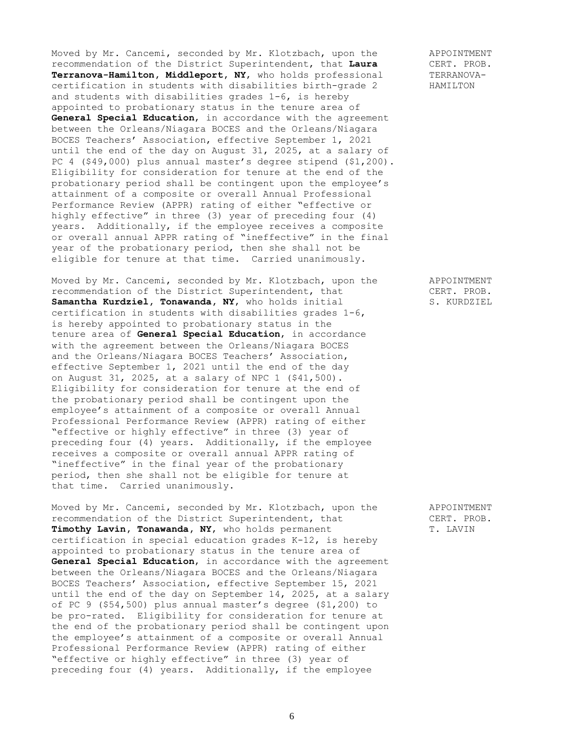Moved by Mr. Cancemi, seconded by Mr. Klotzbach, upon the APPOINTMENT recommendation of the District Superintendent, that **Laura** CERT. PROB.<br>Terranova-Hamilton, Middleport, NY, who holds professional TERRANOVA-Terranova-Hamilton, Middleport, NY, who holds professional certification in students with disabilities birth-grade 2 HAMILTON and students with disabilities grades 1-6, is hereby appointed to probationary status in the tenure area of **General Special Education**, in accordance with the agreement between the Orleans/Niagara BOCES and the Orleans/Niagara BOCES Teachers' Association, effective September 1, 2021 until the end of the day on August 31, 2025, at a salary of PC 4 (\$49,000) plus annual master's degree stipend (\$1,200). Eligibility for consideration for tenure at the end of the probationary period shall be contingent upon the employee's attainment of a composite or overall Annual Professional Performance Review (APPR) rating of either "effective or highly effective" in three (3) year of preceding four (4) years. Additionally, if the employee receives a composite or overall annual APPR rating of "ineffective" in the final year of the probationary period, then she shall not be eligible for tenure at that time. Carried unanimously.

Moved by Mr. Cancemi, seconded by Mr. Klotzbach, upon the APPOINTMENT recommendation of the District Superintendent, that CERT. PROB. **Samantha Kurdziel, Tonawanda, NY,** who holds initial S. KURDZIEL certification in students with disabilities grades 1-6, is hereby appointed to probationary status in the tenure area of **General Special Education**, in accordance with the agreement between the Orleans/Niagara BOCES and the Orleans/Niagara BOCES Teachers' Association, effective September 1, 2021 until the end of the day on August 31, 2025, at a salary of NPC 1 (\$41,500). Eligibility for consideration for tenure at the end of the probationary period shall be contingent upon the employee's attainment of a composite or overall Annual Professional Performance Review (APPR) rating of either "effective or highly effective" in three (3) year of preceding four (4) years. Additionally, if the employee receives a composite or overall annual APPR rating of "ineffective" in the final year of the probationary period, then she shall not be eligible for tenure at that time. Carried unanimously.

Moved by Mr. Cancemi, seconded by Mr. Klotzbach, upon the APPOINTMENT recommendation of the District Superintendent, that CERT. PROB. **Timothy Lavin, Tonawanda, NY,** who holds permanent T. LAVIN certification in special education grades K-12, is hereby appointed to probationary status in the tenure area of **General Special Education**, in accordance with the agreement between the Orleans/Niagara BOCES and the Orleans/Niagara BOCES Teachers' Association, effective September 15, 2021 until the end of the day on September 14, 2025, at a salary of PC 9 (\$54,500) plus annual master's degree (\$1,200) to be pro-rated. Eligibility for consideration for tenure at the end of the probationary period shall be contingent upon the employee's attainment of a composite or overall Annual Professional Performance Review (APPR) rating of either "effective or highly effective" in three (3) year of preceding four (4) years. Additionally, if the employee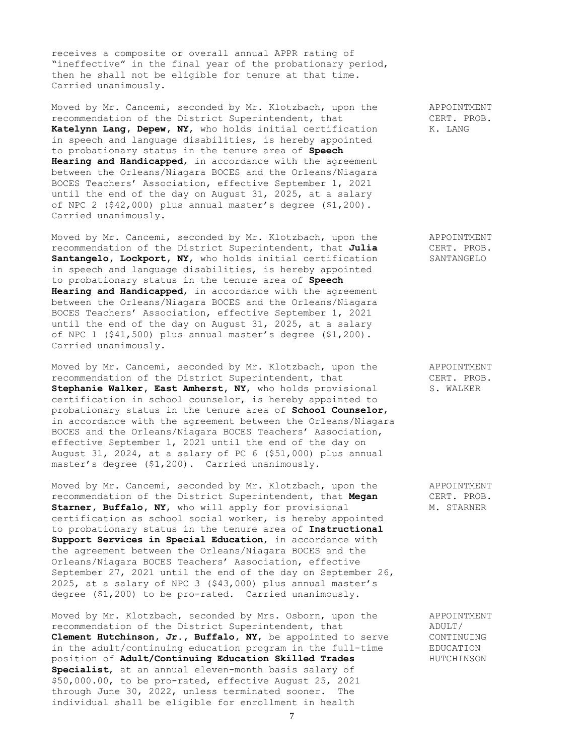receives a composite or overall annual APPR rating of "ineffective" in the final year of the probationary period, then he shall not be eligible for tenure at that time. Carried unanimously.

Moved by Mr. Cancemi, seconded by Mr. Klotzbach, upon the APPOINTMENT recommendation of the District Superintendent, that CERT. PROB. Katelynn Lang, Depew, NY, who holds initial certification K. LANG in speech and language disabilities, is hereby appointed to probationary status in the tenure area of **Speech Hearing and Handicapped**, in accordance with the agreement between the Orleans/Niagara BOCES and the Orleans/Niagara BOCES Teachers' Association, effective September 1, 2021 until the end of the day on August 31, 2025, at a salary of NPC 2 (\$42,000) plus annual master's degree (\$1,200). Carried unanimously.

Moved by Mr. Cancemi, seconded by Mr. Klotzbach, upon the APPOINTMENT recommendation of the District Superintendent, that **Julia** CERT. PROB. **Santangelo, Lockport, NY,** who holds initial certification SANTANGELO in speech and language disabilities, is hereby appointed to probationary status in the tenure area of **Speech Hearing and Handicapped**, in accordance with the agreement between the Orleans/Niagara BOCES and the Orleans/Niagara BOCES Teachers' Association, effective September 1, 2021 until the end of the day on August 31, 2025, at a salary of NPC 1 (\$41,500) plus annual master's degree (\$1,200). Carried unanimously.

Moved by Mr. Cancemi, seconded by Mr. Klotzbach, upon the APPOINTMENT recommendation of the District Superintendent, that CERT. PROB. Stephanie Walker, East Amherst, NY, who holds provisional S. WALKER certification in school counselor, is hereby appointed to probationary status in the tenure area of **School Counselor**, in accordance with the agreement between the Orleans/Niagara BOCES and the Orleans/Niagara BOCES Teachers' Association, effective September 1, 2021 until the end of the day on August 31, 2024, at a salary of PC 6 (\$51,000) plus annual master's degree (\$1,200). Carried unanimously.

Moved by Mr. Cancemi, seconded by Mr. Klotzbach, upon the APPOINTMENT recommendation of the District Superintendent, that **Megan** CERT. PROB. **Starner, Buffalo, NY,** who will apply for provisional M. STARNER certification as school social worker, is hereby appointed to probationary status in the tenure area of **Instructional Support Services in Special Education**, in accordance with the agreement between the Orleans/Niagara BOCES and the Orleans/Niagara BOCES Teachers' Association, effective September 27, 2021 until the end of the day on September 26, 2025, at a salary of NPC 3 (\$43,000) plus annual master's degree (\$1,200) to be pro-rated. Carried unanimously.

Moved by Mr. Klotzbach, seconded by Mrs. Osborn, upon the APPOINTMENT recommendation of the District Superintendent, that ADULT/ **Clement Hutchinson, Jr., Buffalo, NY,** be appointed to serve CONTINUING in the adult/continuing education program in the full-time EDUCATION position of **Adult/Continuing Education Skilled Trades** HUTCHINSON **Specialist**, at an annual eleven-month basis salary of \$50,000.00, to be pro-rated, effective August 25, 2021 through June 30, 2022, unless terminated sooner. The individual shall be eligible for enrollment in health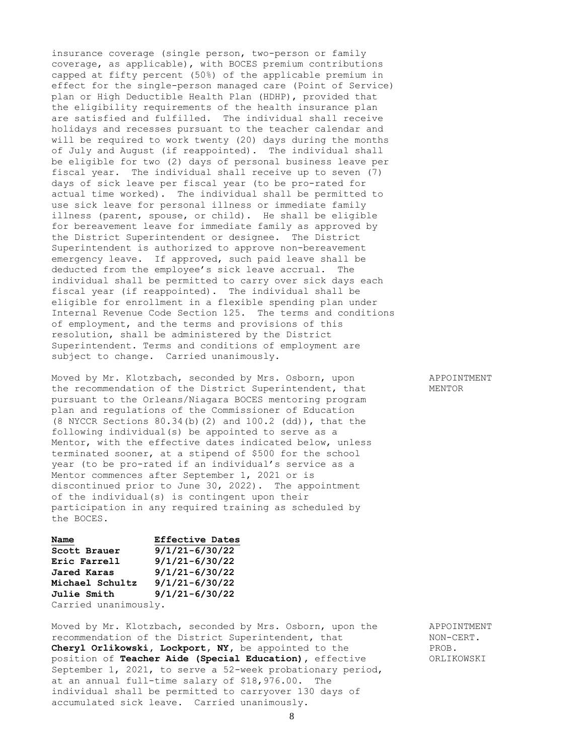insurance coverage (single person, two-person or family coverage, as applicable), with BOCES premium contributions capped at fifty percent (50%) of the applicable premium in effect for the single-person managed care (Point of Service) plan or High Deductible Health Plan (HDHP), provided that the eligibility requirements of the health insurance plan are satisfied and fulfilled. The individual shall receive holidays and recesses pursuant to the teacher calendar and will be required to work twenty (20) days during the months of July and August (if reappointed). The individual shall be eligible for two (2) days of personal business leave per fiscal year. The individual shall receive up to seven (7) days of sick leave per fiscal year (to be pro-rated for actual time worked). The individual shall be permitted to use sick leave for personal illness or immediate family illness (parent, spouse, or child). He shall be eligible for bereavement leave for immediate family as approved by the District Superintendent or designee. The District Superintendent is authorized to approve non-bereavement emergency leave. If approved, such paid leave shall be deducted from the employee's sick leave accrual. The individual shall be permitted to carry over sick days each fiscal year (if reappointed). The individual shall be eligible for enrollment in a flexible spending plan under Internal Revenue Code Section 125. The terms and conditions of employment, and the terms and provisions of this resolution, shall be administered by the District Superintendent. Terms and conditions of employment are subject to change. Carried unanimously.

Moved by Mr. Klotzbach, seconded by Mrs. Osborn, upon APPOINTMENT the recommendation of the District Superintendent, that MENTOR pursuant to the Orleans/Niagara BOCES mentoring program plan and regulations of the Commissioner of Education (8 NYCCR Sections 80.34(b)(2) and 100.2 (dd)), that the following individual(s) be appointed to serve as a Mentor, with the effective dates indicated below, unless terminated sooner, at a stipend of \$500 for the school year (to be pro-rated if an individual's service as a Mentor commences after September 1, 2021 or is discontinued prior to June 30, 2022). The appointment of the individual(s) is contingent upon their participation in any required training as scheduled by the BOCES.

| Name                 | <b>Effective Dates</b> |
|----------------------|------------------------|
| Scott Brauer         | $9/1/21 - 6/30/22$     |
| Eric Farrell         | $9/1/21 - 6/30/22$     |
| Jared Karas          | $9/1/21 - 6/30/22$     |
| Michael Schultz      | $9/1/21 - 6/30/22$     |
| <b>Julie Smith</b>   | $9/1/21 - 6/30/22$     |
| Carried unanimously. |                        |

Moved by Mr. Klotzbach, seconded by Mrs. Osborn, upon the APPOINTMENT recommendation of the District Superintendent, that NON-CERT. **Cheryl Orlikowski, Lockport, NY,** be appointed to the PROB. position of **Teacher Aide (Special Education)**, effective **ORLIKOWSKI** September 1, 2021, to serve a 52-week probationary period, at an annual full-time salary of \$18,976.00. The individual shall be permitted to carryover 130 days of accumulated sick leave. Carried unanimously.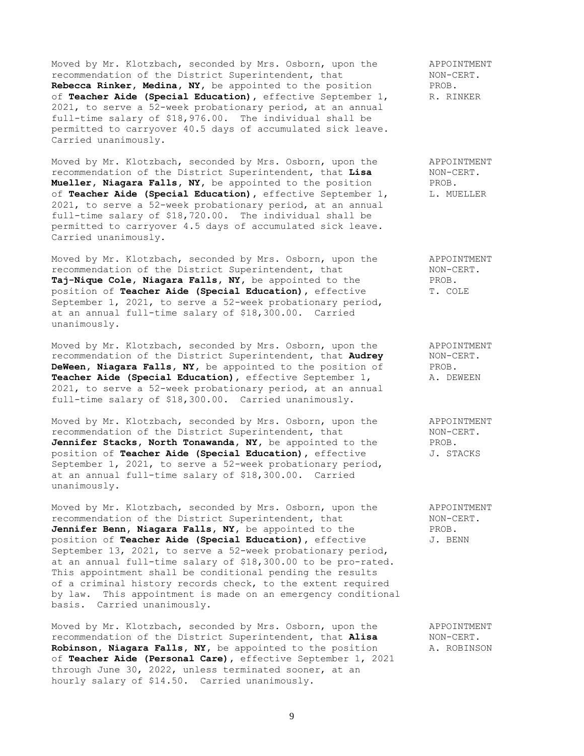Moved by Mr. Klotzbach, seconded by Mrs. Osborn, upon the APPOINTMENT<br>recommendation of the District Superintendent, that MON-CERT. recommendation of the District Superintendent, that **Rebecca Rinker, Medina, NY,** be appointed to the position PROB. of **Teacher Aide (Special Education)**, effective September 1, R. RINKER 2021, to serve a 52-week probationary period, at an annual full-time salary of \$18,976.00. The individual shall be permitted to carryover 40.5 days of accumulated sick leave. Carried unanimously.

Moved by Mr. Klotzbach, seconded by Mrs. Osborn, upon the APPOINTMENT recommendation of the District Superintendent, that **Lisa** NON-CERT. **Mueller, Niagara Falls, NY,** be appointed to the position PROB. of **Teacher Aide (Special Education),** effective September 1, L. MUELLER 2021, to serve a 52-week probationary period, at an annual full-time salary of \$18,720.00. The individual shall be permitted to carryover 4.5 days of accumulated sick leave. Carried unanimously.

Moved by Mr. Klotzbach, seconded by Mrs. Osborn, upon the APPOINTMENT recommendation of the District Superintendent, that NON-CERT. **Taj-Nique Cole, Niagara Falls, NY,** be appointed to the PROB. position of **Teacher Aide (Special Education)**, effective T. COLE September 1, 2021, to serve a 52-week probationary period, at an annual full-time salary of \$18,300.00. Carried unanimously.

Moved by Mr. Klotzbach, seconded by Mrs. Osborn, upon the APPOINTMENT recommendation of the District Superintendent, that **Audrey** NON-CERT. **DeWeen, Niagara Falls, NY,** be appointed to the position of PROB.<br>**Teacher Aide (Special Education),** effective September 1, A. DEWEEN **Teacher Aide (Special Education),** effective September 1, 2021, to serve a 52-week probationary period, at an annual full-time salary of \$18,300.00. Carried unanimously.

Moved by Mr. Klotzbach, seconded by Mrs. Osborn, upon the APPOINTMENT recommendation of the District Superintendent, that NON-CERT. **Jennifer Stacks, North Tonawanda, NY,** be appointed to the PROB. position of **Teacher Aide (Special Education),** effective  $J$ . STACKS September 1, 2021, to serve a 52-week probationary period, at an annual full-time salary of \$18,300.00. Carried unanimously.

Moved by Mr. Klotzbach, seconded by Mrs. Osborn, upon the APPOINTMENT recommendation of the District Superintendent, that NON-CERT. Jennifer Benn, Niagara Falls, NY, be appointed to the PROB. position of **Teacher Aide (Special Education)**, effective  $J$ . BENN September 13, 2021, to serve a 52-week probationary period, at an annual full-time salary of \$18,300.00 to be pro-rated. This appointment shall be conditional pending the results of a criminal history records check, to the extent required by law. This appointment is made on an emergency conditional basis. Carried unanimously.

Moved by Mr. Klotzbach, seconded by Mrs. Osborn, upon the APPOINTMENT recommendation of the District Superintendent, that **Alisa** NON-CERT. **Robinson, Niagara Falls, NY,** be appointed to the position A. ROBINSON of **Teacher Aide (Personal Care),** effective September 1, 2021 through June 30, 2022, unless terminated sooner, at an hourly salary of \$14.50. Carried unanimously.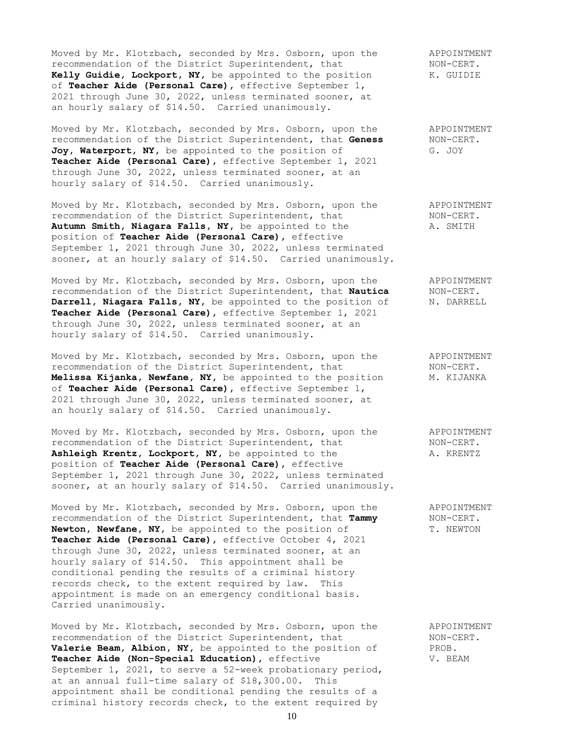Moved by Mr. Klotzbach, seconded by Mrs. Osborn, upon the APPOINTMENT recommendation of the District Superintendent, that MON-CERT. recommendation of the District Superintendent, that MON-CERT.<br> **Kelly Guidie, Lockport, NY**, be appointed to the position K. GUIDIE Kelly Guidie, Lockport, NY, be appointed to the position of **Teacher Aide (Personal Care),** effective September 1, 2021 through June 30, 2022, unless terminated sooner, at an hourly salary of \$14.50. Carried unanimously.

Moved by Mr. Klotzbach, seconded by Mrs. Osborn, upon the APPOINTMENT recommendation of the District Superintendent, that **Geness** NON-CERT. Joy, Waterport, NY, be appointed to the position of G. JOY **Teacher Aide (Personal Care),** effective September 1, 2021 through June 30, 2022, unless terminated sooner, at an hourly salary of \$14.50. Carried unanimously.

Moved by Mr. Klotzbach, seconded by Mrs. Osborn, upon the APPOINTMENT recommendation of the District Superintendent, that MON-CERT. recommendation of the District Superintendent, that Autumn Smith, Niagara Falls, NY, be appointed to the A. SMITH position of **Teacher Aide (Personal Care),** effective September 1, 2021 through June 30, 2022, unless terminated sooner, at an hourly salary of \$14.50. Carried unanimously.

Moved by Mr. Klotzbach, seconded by Mrs. Osborn, upon the APPOINTMENT recommendation of the District Superintendent, that **Nautica** NON-CERT. **Darrell, Niagara Falls, NY,** be appointed to the position of M. DARRELL **Teacher Aide (Personal Care),** effective September 1, 2021 through June 30, 2022, unless terminated sooner, at an hourly salary of \$14.50. Carried unanimously.

Moved by Mr. Klotzbach, seconded by Mrs. Osborn, upon the APPOINTMENT<br>recommendation of the District Superintendent, that MON-CERT. recommendation of the District Superintendent, that **Melissa Kijanka, Newfane, NY,** be appointed to the position M. KIJANKA of **Teacher Aide (Personal Care),** effective September 1, 2021 through June 30, 2022, unless terminated sooner, at an hourly salary of \$14.50. Carried unanimously.

Moved by Mr. Klotzbach, seconded by Mrs. Osborn, upon the APPOINTMENT recommendation of the District Superintendent, that MON-CERT.<br> **Ashleigh Krentz, Lockport, NY**, be appointed to the A. KRENTZ Ashleigh Krentz, Lockport, NY, be appointed to the position of **Teacher Aide (Personal Care),** effective September 1, 2021 through June 30, 2022, unless terminated sooner, at an hourly salary of \$14.50. Carried unanimously.

Moved by Mr. Klotzbach, seconded by Mrs. Osborn, upon the APPOINTMENT<br>recommendation of the District Superintendent, that Tammy MON-CERT. recommendation of the District Superintendent, that Tammy Newton, Newfane, NY, be appointed to the position of T. NEWTON **Teacher Aide (Personal Care),** effective October 4, 2021 through June 30, 2022, unless terminated sooner, at an hourly salary of \$14.50. This appointment shall be conditional pending the results of a criminal history records check, to the extent required by law. This appointment is made on an emergency conditional basis. Carried unanimously.

Moved by Mr. Klotzbach, seconded by Mrs. Osborn, upon the APPOINTMENT recommendation of the District Superintendent, that  $NON-CENT$ . **Valerie Beam, Albion, NY,** be appointed to the position of PROB. Teacher Aide (Non-Special Education), effective V. BEAM September 1, 2021, to serve a 52-week probationary period, at an annual full-time salary of \$18,300.00. This appointment shall be conditional pending the results of a criminal history records check, to the extent required by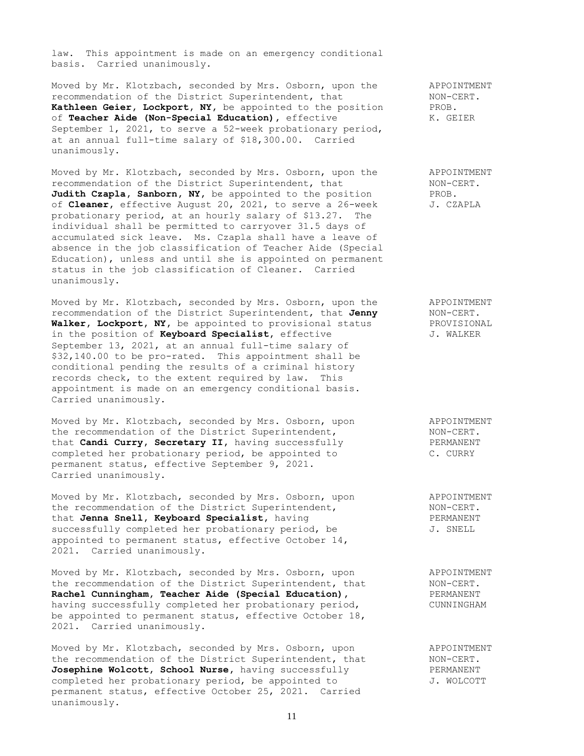law. This appointment is made on an emergency conditional basis. Carried unanimously.

Moved by Mr. Klotzbach, seconded by Mrs. Osborn, upon the APPOINTMENT<br>recommendation of the District Superintendent, that MON-CERT. recommendation of the District Superintendent, that **Kathleen Geier, Lockport, NY,** be appointed to the position PROB. of **Teacher Aide (Non-Special Education),** effective K. GEIER September 1, 2021, to serve a 52-week probationary period, at an annual full-time salary of \$18,300.00. Carried unanimously.

Moved by Mr. Klotzbach, seconded by Mrs. Osborn, upon the APPOINTMENT recommendation of the District Superintendent, that NON-CERT. **Judith Czapla, Sanborn, NY,** be appointed to the position PROB. of **Cleaner,** effective August 20, 2021, to serve a 26-week J. CZAPLA probationary period, at an hourly salary of \$13.27. The individual shall be permitted to carryover 31.5 days of accumulated sick leave. Ms. Czapla shall have a leave of absence in the job classification of Teacher Aide (Special Education), unless and until she is appointed on permanent status in the job classification of Cleaner. Carried unanimously.

Moved by Mr. Klotzbach, seconded by Mrs. Osborn, upon the APPOINTMENT recommendation of the District Superintendent, that Jenny NON-CERT. recommendation of the District Superintendent, that **Jenny** NON-CERT.<br> **Walker, Lockport, NY,** be appointed to provisional status PROVISIONAL Walker, Lockport, NY, be appointed to provisional status in the position of **Keyboard Specialist**, effective  $J$ . WALKER September 13, 2021, at an annual full-time salary of \$32,140.00 to be pro-rated. This appointment shall be conditional pending the results of a criminal history records check, to the extent required by law. This appointment is made on an emergency conditional basis. Carried unanimously.

Moved by Mr. Klotzbach, seconded by Mrs. Osborn, upon APPOINTMENT the recommendation of the District Superintendent, NON-CERT. that **Candi Curry, Secretary II,** having successfully FERMANENT completed her probationary period, be appointed to C. CURRY permanent status, effective September 9, 2021. Carried unanimously.

Moved by Mr. Klotzbach, seconded by Mrs. Osborn, upon APPOINTMENT the recommendation of the District Superintendent, NON-CERT. Moved by Mr. Klotzbach, seconded by Mrs. Osborn, upon and PPOINTMENT<br>
the recommendation of the District Superintendent, NON-CERT.<br>
that Jenna Snell, Keyboard Specialist, having and PERMANENT successfully completed her probationary period, be  $J.$  SNELL appointed to permanent status, effective October 14, 2021. Carried unanimously.

Moved by Mr. Klotzbach, seconded by Mrs. Osborn, upon and APPOINTMENT<br>the recommendation of the District Superintendent, that MON-CERT. the recommendation of the District Superintendent, that MON-CERT. **Rachel Cunningham, Teacher Aide (Special Education),** PERMANENT having successfully completed her probationary period, The CUNNINGHAM be appointed to permanent status, effective October 18, 2021. Carried unanimously.

Moved by Mr. Klotzbach, seconded by Mrs. Osborn, upon APPOINTMENT the recommendation of the District Superintendent, that MON-CERT.<br> **Josephine Wolcott, School Nurse,** having successfully FERMANENT Josephine Wolcott, School Nurse, having successfully completed her probationary period, be appointed to  $J. WOLCOTT$ permanent status, effective October 25, 2021. Carried unanimously.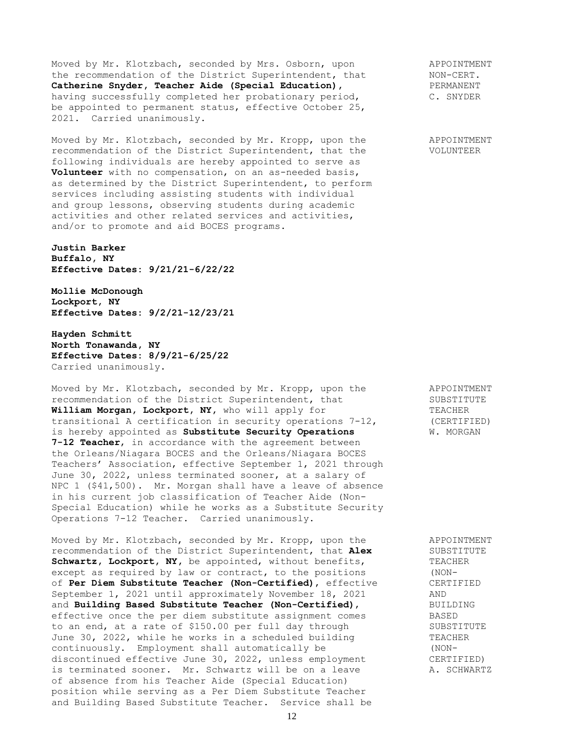Moved by Mr. Klotzbach, seconded by Mrs. Osborn, upon appointment<br>the recommendation of the District Superintendent, that MON-CERT.<br> **Catherine Snyder, Teacher Aide (Special Education)**, The PERMANENT the recommendation of the District Superintendent, that Catherine Snyder, Teacher Aide (Special Education), having successfully completed her probationary period, C. SNYDER be appointed to permanent status, effective October 25, 2021. Carried unanimously.

Moved by Mr. Klotzbach, seconded by Mr. Kropp, upon the APPOINTMENT recommendation of the District Superintendent, that the VOLUNTEER following individuals are hereby appointed to serve as **Volunteer** with no compensation, on an as-needed basis, as determined by the District Superintendent, to perform services including assisting students with individual and group lessons, observing students during academic activities and other related services and activities, and/or to promote and aid BOCES programs.

**Justin Barker Buffalo, NY Effective Dates: 9/21/21-6/22/22**

**Mollie McDonough Lockport, NY Effective Dates: 9/2/21-12/23/21**

**Hayden Schmitt North Tonawanda, NY Effective Dates: 8/9/21-6/25/22** Carried unanimously.

Moved by Mr. Klotzbach, seconded by Mr. Kropp, upon the APPOINTMENT<br>recommendation of the District Superintendent, that SUBSTITUTE recommendation of the District Superintendent, that **William Morgan, Lockport, NY,** who will apply for TEACHER transitional A certification in security operations 7-12, (CERTIFIED) is hereby appointed as **Substitute Security Operations** W. MORGAN **7-12 Teacher**, in accordance with the agreement between the Orleans/Niagara BOCES and the Orleans/Niagara BOCES Teachers' Association, effective September 1, 2021 through June 30, 2022, unless terminated sooner, at a salary of NPC 1 (\$41,500). Mr. Morgan shall have a leave of absence in his current job classification of Teacher Aide (Non-Special Education) while he works as a Substitute Security Operations 7-12 Teacher. Carried unanimously.

Moved by Mr. Klotzbach, seconded by Mr. Kropp, upon the APPOINTMENT<br>recommendation of the District Superintendent, that Alex SUBSTITUTE recommendation of the District Superintendent, that Alex Schwartz, Lockport, NY, be appointed, without benefits, TEACHER except as required by law or contract, to the positions (NON-<br>of Per Diem Substitute Teacher (Non-Certified), effective (ERTIFIED of **Per Diem Substitute Teacher (Non-Certified)**, effective CERT<br>September 1, 2021 until approximately November 18, 2021 AND September 1, 2021 until approximately November 18, 2021 and **Building Based Substitute Teacher (Non-Certified)**, BUILDING<br>effective once the per diem substitute assignment comes BASED effective once the per diem substitute assignment comes to an end, at a rate of \$150.00 per full day through SUBSTITUTE June 30, 2022, while he works in a scheduled building TEACHER continuously. Employment shall automatically be (NONdiscontinued effective June 30, 2022, unless employment CERTIFIED) is terminated sooner. Mr. Schwartz will be on a leave A. SCHWARTZ of absence from his Teacher Aide (Special Education) position while serving as a Per Diem Substitute Teacher and Building Based Substitute Teacher. Service shall be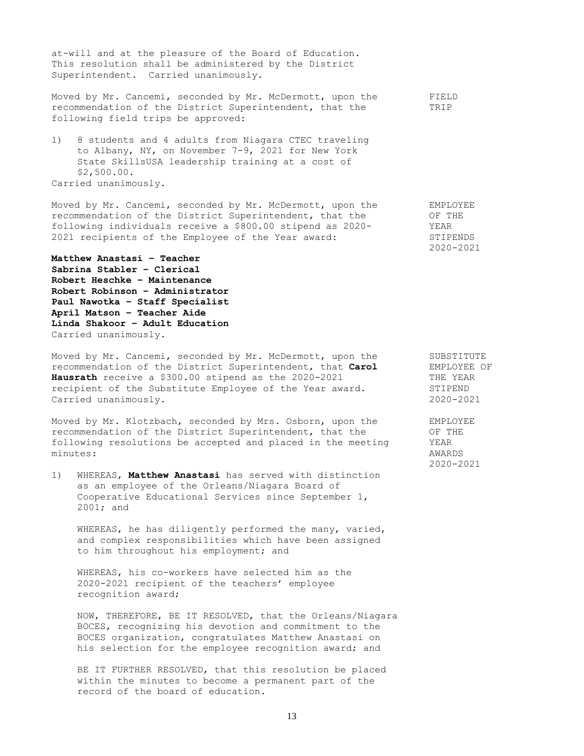at-will and at the pleasure of the Board of Education. This resolution shall be administered by the District Superintendent. Carried unanimously.

Moved by Mr. Cancemi, seconded by Mr. McDermott, upon the FIELD recommendation of the District Superintendent, that the TRIP following field trips be approved:

1) 8 students and 4 adults from Niagara CTEC traveling to Albany, NY, on November 7-9, 2021 for New York State SkillsUSA leadership training at a cost of \$2,500.00.

Carried unanimously.

Moved by Mr. Cancemi, seconded by Mr. McDermott, upon the EMPLOYEE recommendation of the District Superintendent, that the  $OF$  THE following individuals receive a \$800.00 stipend as 2020- YEAR following individuals receive a \$800.00 stipend as 2020-2021 recipients of the Employee of the Year award: STIPENDS

**Matthew Anastasi – Teacher Sabrina Stabler – Clerical Robert Heschke – Maintenance Robert Robinson – Administrator Paul Nawotka – Staff Specialist April Matson – Teacher Aide Linda Shakoor – Adult Education** Carried unanimously.

Moved by Mr. Cancemi, seconded by Mr. McDermott, upon the SUBSTITUTE<br>recommendation of the District Superintendent, that Carol EMPLOYEE OF recommendation of the District Superintendent, that **Carol** EMPLOYEE **Hausrath** receive a \$300.00 stipend as the 2020-2021 THE YEAR **Hausrath** receive a \$300.00 stipend as the 2020-2021 THE YEA<br>recipient of the Substitute Employee of the Year award. STIPEND recipient of the Substitute Employee of the Year award. Carried unanimously. 2020-2021

Moved by Mr. Klotzbach, seconded by Mrs. Osborn, upon the EMPLOYEE recommendation of the District Superintendent, that the OF THE following resolutions be accepted and placed in the meeting YEAR minutes: AWARDS

1) WHEREAS, **Matthew Anastasi** has served with distinction as an employee of the Orleans/Niagara Board of Cooperative Educational Services since September 1, 2001; and

WHEREAS, he has diligently performed the many, varied, and complex responsibilities which have been assigned to him throughout his employment; and

WHEREAS, his co-workers have selected him as the 2020-2021 recipient of the teachers' employee recognition award;

NOW, THEREFORE, BE IT RESOLVED, that the Orleans/Niagara BOCES, recognizing his devotion and commitment to the BOCES organization, congratulates Matthew Anastasi on his selection for the employee recognition award; and

BE IT FURTHER RESOLVED, that this resolution be placed within the minutes to become a permanent part of the record of the board of education.

2020-2021

2020-2021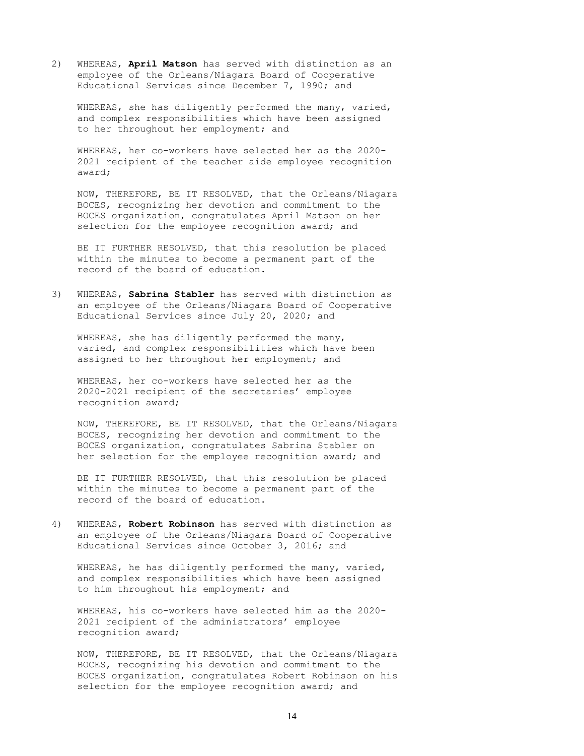2) WHEREAS, **April Matson** has served with distinction as an employee of the Orleans/Niagara Board of Cooperative Educational Services since December 7, 1990; and

WHEREAS, she has diligently performed the many, varied, and complex responsibilities which have been assigned to her throughout her employment; and

WHEREAS, her co-workers have selected her as the 2020- 2021 recipient of the teacher aide employee recognition award;

NOW, THEREFORE, BE IT RESOLVED, that the Orleans/Niagara BOCES, recognizing her devotion and commitment to the BOCES organization, congratulates April Matson on her selection for the employee recognition award; and

BE IT FURTHER RESOLVED, that this resolution be placed within the minutes to become a permanent part of the record of the board of education.

3) WHEREAS, **Sabrina Stabler** has served with distinction as an employee of the Orleans/Niagara Board of Cooperative Educational Services since July 20, 2020; and

WHEREAS, she has diligently performed the many, varied, and complex responsibilities which have been assigned to her throughout her employment; and

WHEREAS, her co-workers have selected her as the 2020-2021 recipient of the secretaries' employee recognition award;

NOW, THEREFORE, BE IT RESOLVED, that the Orleans/Niagara BOCES, recognizing her devotion and commitment to the BOCES organization, congratulates Sabrina Stabler on her selection for the employee recognition award; and

BE IT FURTHER RESOLVED, that this resolution be placed within the minutes to become a permanent part of the record of the board of education.

4) WHEREAS, **Robert Robinson** has served with distinction as an employee of the Orleans/Niagara Board of Cooperative Educational Services since October 3, 2016; and

WHEREAS, he has diligently performed the many, varied, and complex responsibilities which have been assigned to him throughout his employment; and

WHEREAS, his co-workers have selected him as the 2020- 2021 recipient of the administrators' employee recognition award;

NOW, THEREFORE, BE IT RESOLVED, that the Orleans/Niagara BOCES, recognizing his devotion and commitment to the BOCES organization, congratulates Robert Robinson on his selection for the employee recognition award; and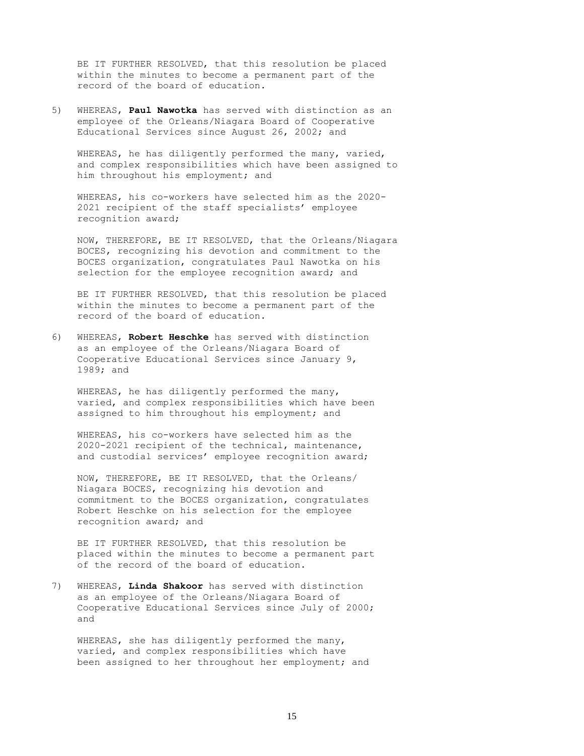BE IT FURTHER RESOLVED, that this resolution be placed within the minutes to become a permanent part of the record of the board of education.

5) WHEREAS, **Paul Nawotka** has served with distinction as an employee of the Orleans/Niagara Board of Cooperative Educational Services since August 26, 2002; and

WHEREAS, he has diligently performed the many, varied, and complex responsibilities which have been assigned to him throughout his employment; and

WHEREAS, his co-workers have selected him as the 2020- 2021 recipient of the staff specialists' employee recognition award;

NOW, THEREFORE, BE IT RESOLVED, that the Orleans/Niagara BOCES, recognizing his devotion and commitment to the BOCES organization, congratulates Paul Nawotka on his selection for the employee recognition award; and

BE IT FURTHER RESOLVED, that this resolution be placed within the minutes to become a permanent part of the record of the board of education.

6) WHEREAS, **Robert Heschke** has served with distinction as an employee of the Orleans/Niagara Board of Cooperative Educational Services since January 9, 1989; and

WHEREAS, he has diligently performed the many, varied, and complex responsibilities which have been assigned to him throughout his employment; and

WHEREAS, his co-workers have selected him as the 2020-2021 recipient of the technical, maintenance, and custodial services' employee recognition award;

NOW, THEREFORE, BE IT RESOLVED, that the Orleans/ Niagara BOCES, recognizing his devotion and commitment to the BOCES organization, congratulates Robert Heschke on his selection for the employee recognition award; and

BE IT FURTHER RESOLVED, that this resolution be placed within the minutes to become a permanent part of the record of the board of education.

7) WHEREAS, **Linda Shakoor** has served with distinction as an employee of the Orleans/Niagara Board of Cooperative Educational Services since July of 2000; and

WHEREAS, she has diligently performed the many, varied, and complex responsibilities which have been assigned to her throughout her employment; and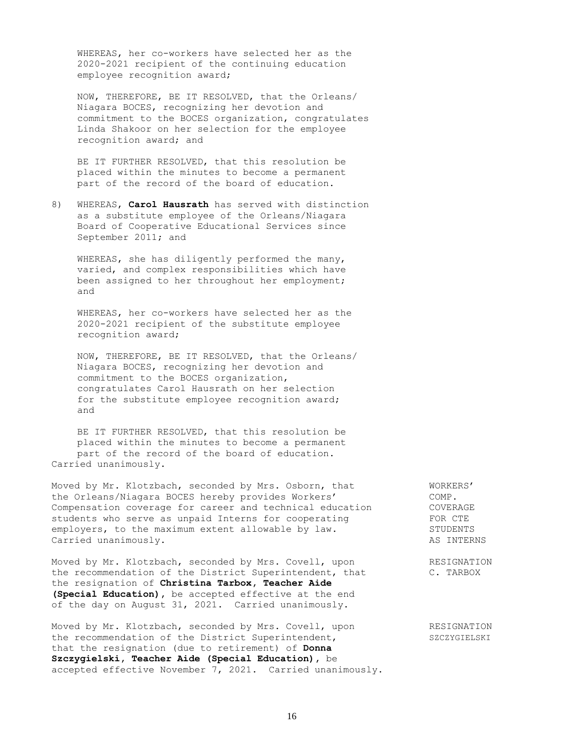WHEREAS, her co-workers have selected her as the 2020-2021 recipient of the continuing education employee recognition award;

NOW, THEREFORE, BE IT RESOLVED, that the Orleans/ Niagara BOCES, recognizing her devotion and commitment to the BOCES organization, congratulates Linda Shakoor on her selection for the employee recognition award; and

BE IT FURTHER RESOLVED, that this resolution be placed within the minutes to become a permanent part of the record of the board of education.

8) WHEREAS, **Carol Hausrath** has served with distinction as a substitute employee of the Orleans/Niagara Board of Cooperative Educational Services since September 2011; and

WHEREAS, she has diligently performed the many, varied, and complex responsibilities which have been assigned to her throughout her employment; and

WHEREAS, her co-workers have selected her as the 2020-2021 recipient of the substitute employee recognition award;

NOW, THEREFORE, BE IT RESOLVED, that the Orleans/ Niagara BOCES, recognizing her devotion and commitment to the BOCES organization, congratulates Carol Hausrath on her selection for the substitute employee recognition award; and

BE IT FURTHER RESOLVED, that this resolution be placed within the minutes to become a permanent part of the record of the board of education. Carried unanimously.

Moved by Mr. Klotzbach, seconded by Mrs. Osborn, that WORKERS' the Orleans/Niagara BOCES hereby provides Workers' COMP. Compensation coverage for career and technical education COVERAGE students who serve as unpaid Interns for cooperating FOR CTE employers, to the maximum extent allowable by law. The mologers, to the maximum extent allowable by law. STUDENTS Carried unanimously. AS INTERNS

Moved by Mr. Klotzbach, seconded by Mrs. Covell, upon RESIGNATION the recommendation of the District Superintendent, that C. TARBOX the resignation of **Christina Tarbox, Teacher Aide (Special Education),** be accepted effective at the end of the day on August 31, 2021. Carried unanimously.

Moved by Mr. Klotzbach, seconded by Mrs. Covell, upon RESIGNATION the recommendation of the District Superintendent, SZCZYGIELSKI that the resignation (due to retirement) of **Donna Szczygielski, Teacher Aide (Special Education),** be accepted effective November 7, 2021. Carried unanimously.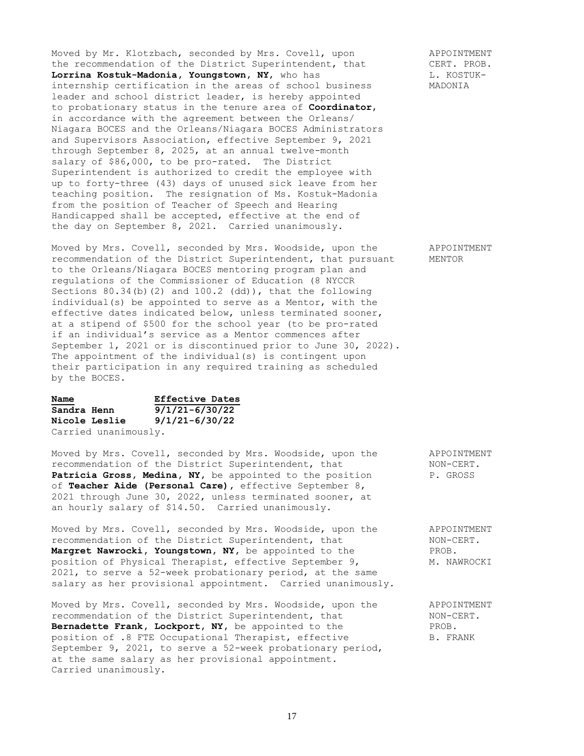Moved by Mr. Klotzbach, seconded by Mrs. Covell, upon APPOINTMENT the recommendation of the District Superintendent, that CERT. PROB. Moved by Mr. Klotzbach, seconded by Mrs. Covern, apon and the recommendation of the District Superintendent, that CERT. PROB.<br> **Lorrina Kostuk-Madonia, Youngstown, NY,** who has  $L$ . KOSTUKinternship certification in the areas of school business MADONIA leader and school district leader, is hereby appointed to probationary status in the tenure area of **Coordinator**, in accordance with the agreement between the Orleans/ Niagara BOCES and the Orleans/Niagara BOCES Administrators and Supervisors Association, effective September 9, 2021 through September 8, 2025, at an annual twelve-month salary of \$86,000, to be pro-rated. The District Superintendent is authorized to credit the employee with up to forty-three (43) days of unused sick leave from her teaching position. The resignation of Ms. Kostuk-Madonia from the position of Teacher of Speech and Hearing Handicapped shall be accepted, effective at the end of the day on September 8, 2021. Carried unanimously.

Moved by Mrs. Covell, seconded by Mrs. Woodside, upon the APPOINTMENT recommendation of the District Superintendent, that pursuant MENTOR to the Orleans/Niagara BOCES mentoring program plan and regulations of the Commissioner of Education (8 NYCCR Sections 80.34(b)(2) and 100.2 (dd)), that the following individual(s) be appointed to serve as a Mentor, with the effective dates indicated below, unless terminated sooner, at a stipend of \$500 for the school year (to be pro-rated if an individual's service as a Mentor commences after September 1, 2021 or is discontinued prior to June 30, 2022). The appointment of the individual(s) is contingent upon their participation in any required training as scheduled by the BOCES.

| Name                 | <b>Effective Dates</b> |
|----------------------|------------------------|
| Sandra Henn          | $9/1/21 - 6/30/22$     |
| <b>Nicole Leslie</b> | $9/1/21 - 6/30/22$     |
| Carried unanimously. |                        |

Moved by Mrs. Covell, seconded by Mrs. Woodside, upon the APPOINTMENT recommendation of the District Superintendent, that MON-CERT. recommendation of the District Superintendent, that Patricia Gross, Medina, NY, be appointed to the position P. GROSS of **Teacher Aide (Personal Care),** effective September 8, 2021 through June 30, 2022, unless terminated sooner, at an hourly salary of \$14.50. Carried unanimously.

Moved by Mrs. Covell, seconded by Mrs. Woodside, upon the APPOINTMENT recommendation of the District Superintendent, that MON-CERT. recommendation of the District Superintendent, that MON-CI<br> **Margret Nawrocki, Youngstown, NY,** be appointed to the PROB. Margret Nawrocki, Youngstown, NY, be appointed to the position of Physical Therapist, effective September 9, M. NAWROCKI 2021, to serve a 52-week probationary period, at the same salary as her provisional appointment. Carried unanimously.

Moved by Mrs. Covell, seconded by Mrs. Woodside, upon the APPOINTMENT recommendation of the District Superintendent, that MON-CERT. recommendation of the District Superintendent, that **Bernadette Frank, Lockport, NY,** be appointed to the PROB. position of .8 FTE Occupational Therapist, effective B. FRANK September 9, 2021, to serve a 52-week probationary period, at the same salary as her provisional appointment. Carried unanimously.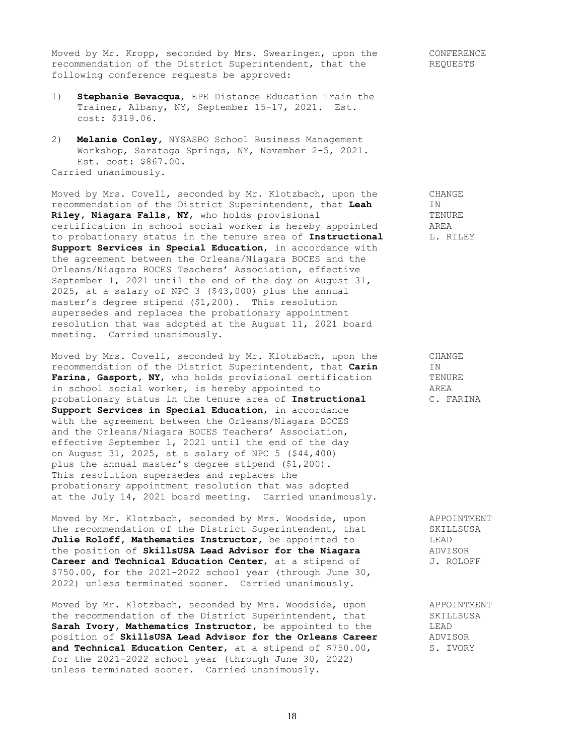Moved by Mr. Kropp, seconded by Mrs. Swearingen, upon the CONFERENCE recommendation of the District Superintendent, that the REQUESTS following conference requests be approved:

- 1) **Stephanie Bevacqua**, EPE Distance Education Train the Trainer, Albany, NY, September 15-17, 2021. Est. cost: \$319.06.
- 2) **Melanie Conley,** NYSASBO School Business Management Workshop, Saratoga Springs, NY, November 2-5, 2021. Est. cost: \$867.00. Carried unanimously.

Moved by Mrs. Covell, seconded by Mr. Klotzbach, upon the CHANGE recommendation of the District Superintendent, that **Leah** IN<br> **Rilev. Niagara Falls, NY,** who holds provisional TENURE **Riley, Niagara Falls, NY,** who holds provisional TENUS TENURE<br>certification in school social worker is hereby appointed TAREA certification in school social worker is hereby appointed to probationary status in the tenure area of **Instructional** [1. RILEY **Support Services in Special Education**, in accordance with the agreement between the Orleans/Niagara BOCES and the Orleans/Niagara BOCES Teachers' Association, effective September 1, 2021 until the end of the day on August 31, 2025, at a salary of NPC 3 (\$43,000) plus the annual master's degree stipend (\$1,200). This resolution supersedes and replaces the probationary appointment resolution that was adopted at the August 11, 2021 board meeting. Carried unanimously.

Moved by Mrs. Covell, seconded by Mr. Klotzbach, upon the CHANGE recommendation of the District Superintendent, that **Carin** IN<br>**Farina. Gasport. NY**, who holds provisional certification TENURE Farina, Gasport, NY, who holds provisional certification TENUREN TENUREN TENUREN CONTENTS TREA in school social worker, is hereby appointed to probationary status in the tenure area of **Instructional** C. FARINA **Support Services in Special Education**, in accordance with the agreement between the Orleans/Niagara BOCES and the Orleans/Niagara BOCES Teachers' Association, effective September 1, 2021 until the end of the day on August 31, 2025, at a salary of NPC 5 (\$44,400) plus the annual master's degree stipend (\$1,200). This resolution supersedes and replaces the probationary appointment resolution that was adopted at the July 14, 2021 board meeting. Carried unanimously.

Moved by Mr. Klotzbach, seconded by Mrs. Woodside, upon APPOINTMENT<br>the recommendation of the District Superintendent, that SKILLSUSA the recommendation of the District Superintendent, that Julie Roloff, Mathematics Instructor, be appointed to LEAD LEAD<br>the position of SkillsUSA Lead Advisor for the Niagara ADVISOR the position of SkillsUSA Lead Advisor for the Niagara **Career and Technical Education Center**, at a stipend of  $J.$  ROLOFF \$750.00, for the 2021-2022 school year (through June 30, 2022) unless terminated sooner. Carried unanimously.

Moved by Mr. Klotzbach, seconded by Mrs. Woodside, upon APPOINTMENT the recommendation of the District Superintendent, that SKILLSUSA **Sarah Ivory, Mathematics Instructor,** be appointed to the LEAD position of **SkillsUSA Lead Advisor for the Orleans Career** ADVISOR **and Technical Education Center**, at a stipend of \$750.00, S. IVORY for the 2021-2022 school year (through June 30, 2022) unless terminated sooner. Carried unanimously.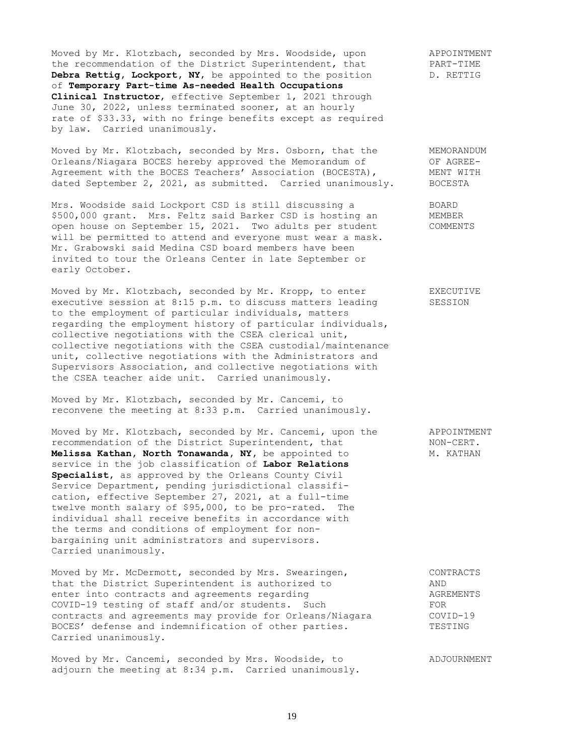Moved by Mr. Klotzbach, seconded by Mrs. Woodside, upon APPOINTMENT the recommendation of the District Superintendent, that PART-TIME **Debra Rettig, Lockport, NY,** be appointed to the position D. RETTIG of **Temporary Part-time As-needed Health Occupations Clinical Instructor**, effective September 1, 2021 through June 30, 2022, unless terminated sooner, at an hourly rate of \$33.33, with no fringe benefits except as required by law. Carried unanimously.

Moved by Mr. Klotzbach, seconded by Mrs. Osborn, that the MEMORANDUM Orleans/Niagara BOCES hereby approved the Memorandum of OF AGREE-Agreement with the BOCES Teachers' Association (BOCESTA), THENT WITH dated September 2, 2021, as submitted. Carried unanimously. BOCESTA

Mrs. Woodside said Lockport CSD is still discussing a BOARD<br>\$500,000 grant. Mrs. Feltz said Barker CSD is hosting an MEMBER \$500,000 grant. Mrs. Feltz said Barker CSD is hosting an MEMBER<br>open house on September 15, 2021. Two adults per student COMMENTS open house on September 15, 2021. Two adults per student will be permitted to attend and everyone must wear a mask. Mr. Grabowski said Medina CSD board members have been invited to tour the Orleans Center in late September or early October.

Moved by Mr. Klotzbach, seconded by Mr. Kropp, to enter EXECUTIVE executive session at 8:15 p.m. to discuss matters leading SESSION to the employment of particular individuals, matters regarding the employment history of particular individuals, collective negotiations with the CSEA clerical unit, collective negotiations with the CSEA custodial/maintenance unit, collective negotiations with the Administrators and Supervisors Association, and collective negotiations with the CSEA teacher aide unit. Carried unanimously.

Moved by Mr. Klotzbach, seconded by Mr. Cancemi, to reconvene the meeting at 8:33 p.m. Carried unanimously.

Moved by Mr. Klotzbach, seconded by Mr. Cancemi, upon the APPOINTMENT recommendation of the District Superintendent, that MON-CERT.<br> **Melissa Kathan, North Tonawanda, NY,** be appointed to M. KATHAN Melissa Kathan, North Tonawanda, NY, be appointed to service in the job classification of **Labor Relations Specialist,** as approved by the Orleans County Civil Service Department, pending jurisdictional classification, effective September 27, 2021, at a full-time twelve month salary of \$95,000, to be pro-rated. The individual shall receive benefits in accordance with the terms and conditions of employment for nonbargaining unit administrators and supervisors. Carried unanimously.

Moved by Mr. McDermott, seconded by Mrs. Swearingen, The Mondelling CONTRACTS that the District Superintendent is authorized to AND enter into contracts and agreements regarding and an agreements of the AGREMENTS COVID-19 testing of staff and/or students. Such FOR contracts and agreements may provide for Orleans/Niagara COVID-19 BOCES' defense and indemnification of other parties. TESTING Carried unanimously.

Moved by Mr. Cancemi, seconded by Mrs. Woodside, to ADJOURNMENT adjourn the meeting at 8:34 p.m. Carried unanimously.